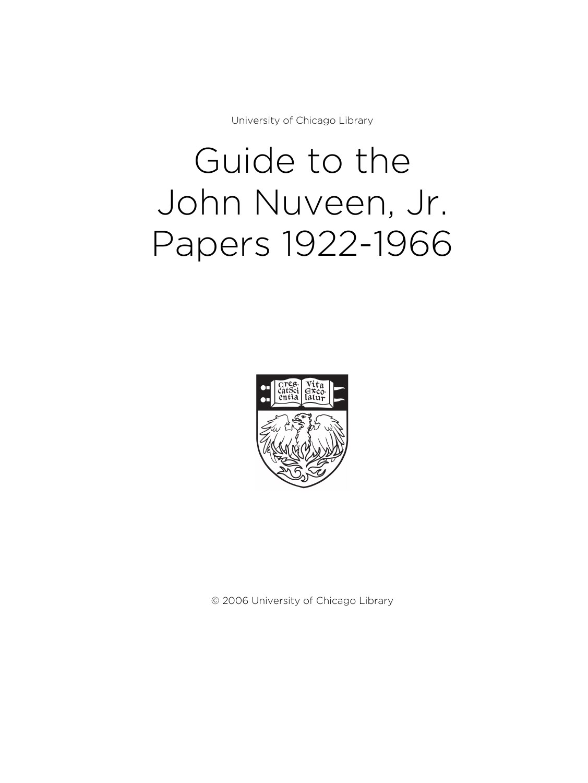University of Chicago Library

# Guide to the John Nuveen, Jr. Papers 1922-1966



© 2006 University of Chicago Library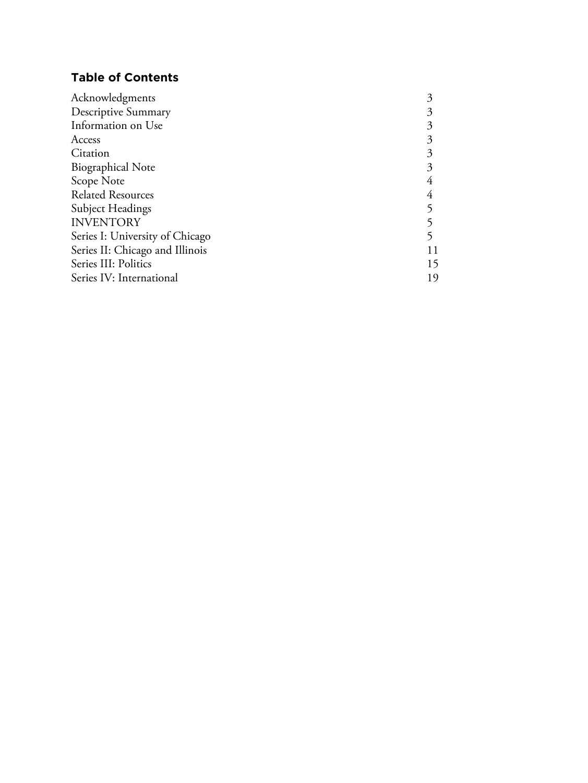# **Table of Contents**

| Acknowledgments                 |    |
|---------------------------------|----|
| Descriptive Summary             |    |
| Information on Use              |    |
| Access                          |    |
| Citation                        |    |
| <b>Biographical Note</b>        |    |
| Scope Note                      |    |
| <b>Related Resources</b>        |    |
| <b>Subject Headings</b>         |    |
| <b>INVENTORY</b>                |    |
| Series I: University of Chicago |    |
| Series II: Chicago and Illinois | 11 |
| Series III: Politics            | 15 |
| Series IV: International        |    |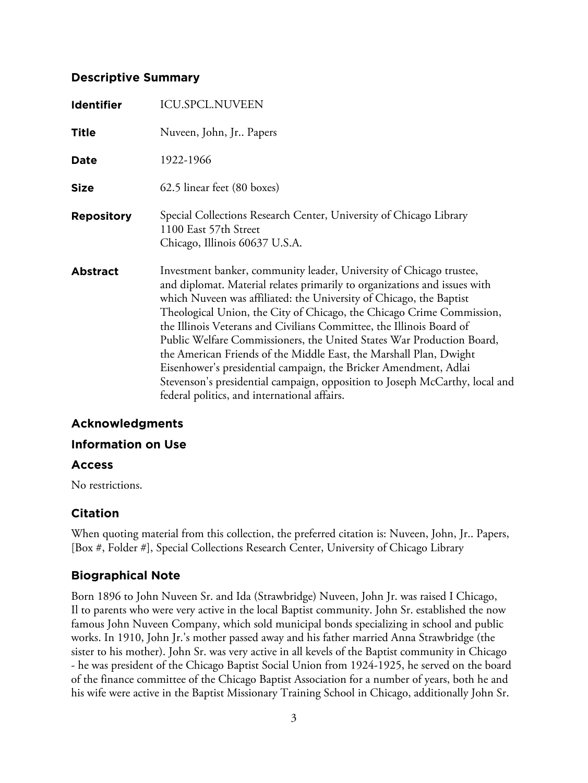# **Descriptive Summary**

| <b>Identifier</b> | <b>ICU.SPCL.NUVEEN</b>                                                                                                                                                                                                                                                                                                                                                                                                                                                                                                                                                                                                                                                                                                     |
|-------------------|----------------------------------------------------------------------------------------------------------------------------------------------------------------------------------------------------------------------------------------------------------------------------------------------------------------------------------------------------------------------------------------------------------------------------------------------------------------------------------------------------------------------------------------------------------------------------------------------------------------------------------------------------------------------------------------------------------------------------|
| <b>Title</b>      | Nuveen, John, Jr Papers                                                                                                                                                                                                                                                                                                                                                                                                                                                                                                                                                                                                                                                                                                    |
| Date              | 1922-1966                                                                                                                                                                                                                                                                                                                                                                                                                                                                                                                                                                                                                                                                                                                  |
| <b>Size</b>       | 62.5 linear feet (80 boxes)                                                                                                                                                                                                                                                                                                                                                                                                                                                                                                                                                                                                                                                                                                |
| <b>Repository</b> | Special Collections Research Center, University of Chicago Library<br>1100 East 57th Street<br>Chicago, Illinois 60637 U.S.A.                                                                                                                                                                                                                                                                                                                                                                                                                                                                                                                                                                                              |
| <b>Abstract</b>   | Investment banker, community leader, University of Chicago trustee,<br>and diplomat. Material relates primarily to organizations and issues with<br>which Nuveen was affiliated: the University of Chicago, the Baptist<br>Theological Union, the City of Chicago, the Chicago Crime Commission,<br>the Illinois Veterans and Civilians Committee, the Illinois Board of<br>Public Welfare Commissioners, the United States War Production Board,<br>the American Friends of the Middle East, the Marshall Plan, Dwight<br>Eisenhower's presidential campaign, the Bricker Amendment, Adlai<br>Stevenson's presidential campaign, opposition to Joseph McCarthy, local and<br>federal politics, and international affairs. |

# **Acknowledgments**

## **Information on Use**

## **Access**

No restrictions.

# **Citation**

When quoting material from this collection, the preferred citation is: Nuveen, John, Jr.. Papers, [Box #, Folder #], Special Collections Research Center, University of Chicago Library

# **Biographical Note**

Born 1896 to John Nuveen Sr. and Ida (Strawbridge) Nuveen, John Jr. was raised I Chicago, Il to parents who were very active in the local Baptist community. John Sr. established the now famous John Nuveen Company, which sold municipal bonds specializing in school and public works. In 1910, John Jr.'s mother passed away and his father married Anna Strawbridge (the sister to his mother). John Sr. was very active in all kevels of the Baptist community in Chicago - he was president of the Chicago Baptist Social Union from 1924-1925, he served on the board of the finance committee of the Chicago Baptist Association for a number of years, both he and his wife were active in the Baptist Missionary Training School in Chicago, additionally John Sr.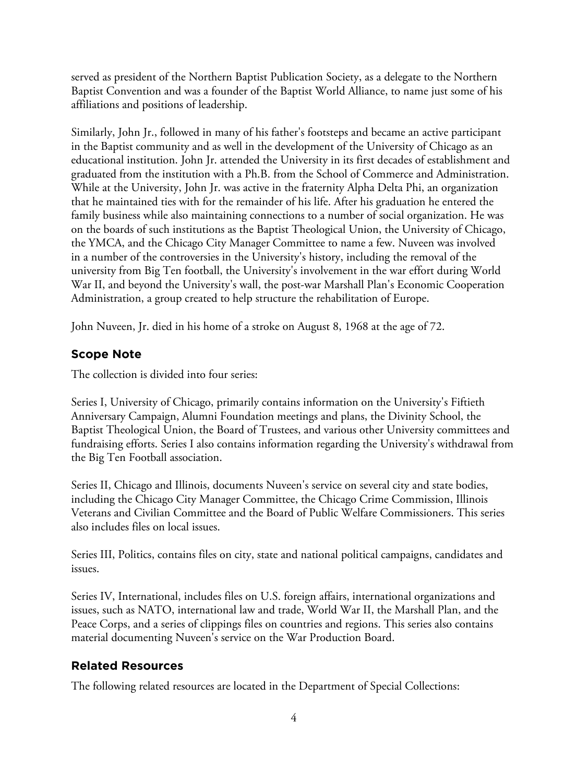served as president of the Northern Baptist Publication Society, as a delegate to the Northern Baptist Convention and was a founder of the Baptist World Alliance, to name just some of his affiliations and positions of leadership.

Similarly, John Jr., followed in many of his father's footsteps and became an active participant in the Baptist community and as well in the development of the University of Chicago as an educational institution. John Jr. attended the University in its first decades of establishment and graduated from the institution with a Ph.B. from the School of Commerce and Administration. While at the University, John Jr. was active in the fraternity Alpha Delta Phi, an organization that he maintained ties with for the remainder of his life. After his graduation he entered the family business while also maintaining connections to a number of social organization. He was on the boards of such institutions as the Baptist Theological Union, the University of Chicago, the YMCA, and the Chicago City Manager Committee to name a few. Nuveen was involved in a number of the controversies in the University's history, including the removal of the university from Big Ten football, the University's involvement in the war effort during World War II, and beyond the University's wall, the post-war Marshall Plan's Economic Cooperation Administration, a group created to help structure the rehabilitation of Europe.

John Nuveen, Jr. died in his home of a stroke on August 8, 1968 at the age of 72.

# **Scope Note**

The collection is divided into four series:

Series I, University of Chicago, primarily contains information on the University's Fiftieth Anniversary Campaign, Alumni Foundation meetings and plans, the Divinity School, the Baptist Theological Union, the Board of Trustees, and various other University committees and fundraising efforts. Series I also contains information regarding the University's withdrawal from the Big Ten Football association.

Series II, Chicago and Illinois, documents Nuveen's service on several city and state bodies, including the Chicago City Manager Committee, the Chicago Crime Commission, Illinois Veterans and Civilian Committee and the Board of Public Welfare Commissioners. This series also includes files on local issues.

Series III, Politics, contains files on city, state and national political campaigns, candidates and issues.

Series IV, International, includes files on U.S. foreign affairs, international organizations and issues, such as NATO, international law and trade, World War II, the Marshall Plan, and the Peace Corps, and a series of clippings files on countries and regions. This series also contains material documenting Nuveen's service on the War Production Board.

# **Related Resources**

The following related resources are located in the Department of Special Collections: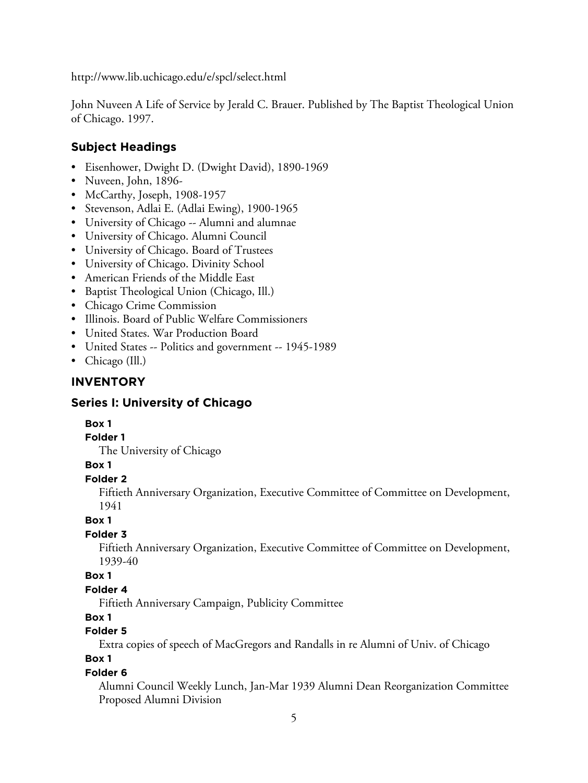http://www.lib.uchicago.edu/e/spcl/select.html

John Nuveen A Life of Service by Jerald C. Brauer. Published by The Baptist Theological Union of Chicago. 1997.

# **Subject Headings**

- Eisenhower, Dwight D. (Dwight David), 1890-1969
- Nuveen, John, 1896-
- McCarthy, Joseph, 1908-1957
- Stevenson, Adlai E. (Adlai Ewing), 1900-1965
- University of Chicago -- Alumni and alumnae
- University of Chicago. Alumni Council
- University of Chicago. Board of Trustees
- University of Chicago. Divinity School
- American Friends of the Middle East
- Baptist Theological Union (Chicago, Ill.)
- Chicago Crime Commission
- Illinois. Board of Public Welfare Commissioners
- United States. War Production Board
- United States -- Politics and government -- 1945-1989
- Chicago (Ill.)

# **INVENTORY**

## **Series I: University of Chicago**

## **Box 1**

#### **Folder 1**

The University of Chicago

## **Box 1**

## **Folder 2**

Fiftieth Anniversary Organization, Executive Committee of Committee on Development, 1941

#### **Box 1**

## **Folder 3**

Fiftieth Anniversary Organization, Executive Committee of Committee on Development, 1939-40

## **Box 1**

## **Folder 4**

Fiftieth Anniversary Campaign, Publicity Committee

## **Box 1**

# **Folder 5**

Extra copies of speech of MacGregors and Randalls in re Alumni of Univ. of Chicago

# **Box 1**

#### **Folder 6**

Alumni Council Weekly Lunch, Jan-Mar 1939 Alumni Dean Reorganization Committee Proposed Alumni Division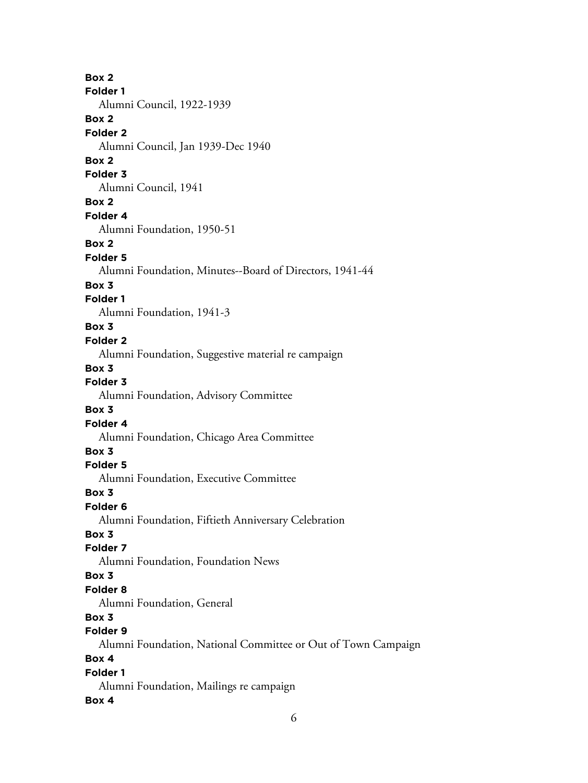**Box 2 Folder 1** Alumni Council, 1922-1939 **Box 2 Folder 2** Alumni Council, Jan 1939-Dec 1940 **Box 2 Folder 3** Alumni Council, 1941 **Box 2 Folder 4** Alumni Foundation, 1950-51 **Box 2 Folder 5** Alumni Foundation, Minutes--Board of Directors, 1941-44 **Box 3 Folder 1** Alumni Foundation, 1941-3 **Box 3 Folder 2** Alumni Foundation, Suggestive material re campaign **Box 3 Folder 3** Alumni Foundation, Advisory Committee **Box 3 Folder 4** Alumni Foundation, Chicago Area Committee **Box 3 Folder 5** Alumni Foundation, Executive Committee **Box 3 Folder 6** Alumni Foundation, Fiftieth Anniversary Celebration **Box 3 Folder 7** Alumni Foundation, Foundation News **Box 3 Folder 8** Alumni Foundation, General **Box 3 Folder 9** Alumni Foundation, National Committee or Out of Town Campaign **Box 4 Folder 1** Alumni Foundation, Mailings re campaign **Box 4**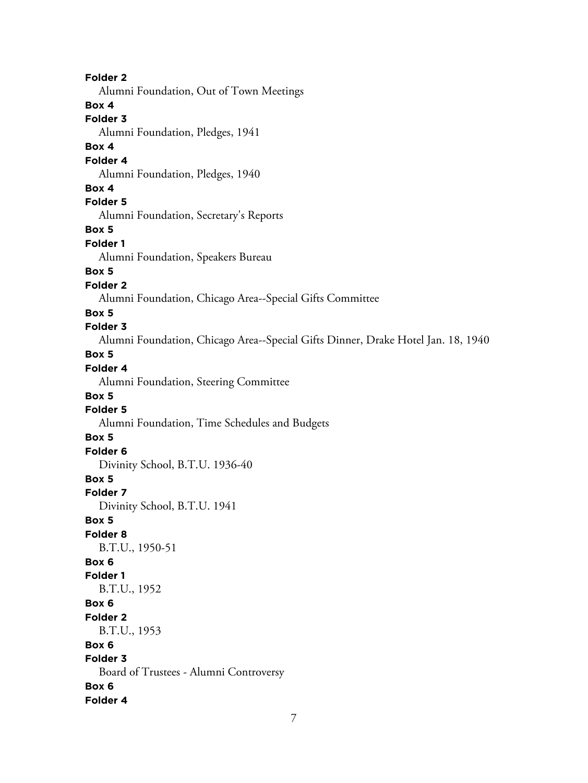**Folder 2** Alumni Foundation, Out of Town Meetings **Box 4 Folder 3** Alumni Foundation, Pledges, 1941 **Box 4 Folder 4** Alumni Foundation, Pledges, 1940 **Box 4 Folder 5** Alumni Foundation, Secretary's Reports **Box 5 Folder 1** Alumni Foundation, Speakers Bureau **Box 5 Folder 2** Alumni Foundation, Chicago Area--Special Gifts Committee **Box 5 Folder 3** Alumni Foundation, Chicago Area--Special Gifts Dinner, Drake Hotel Jan. 18, 1940 **Box 5 Folder 4** Alumni Foundation, Steering Committee **Box 5 Folder 5** Alumni Foundation, Time Schedules and Budgets **Box 5 Folder 6** Divinity School, B.T.U. 1936-40 **Box 5 Folder 7** Divinity School, B.T.U. 1941 **Box 5 Folder 8** B.T.U., 1950-51 **Box 6 Folder 1** B.T.U., 1952 **Box 6 Folder 2** B.T.U., 1953 **Box 6 Folder 3** Board of Trustees - Alumni Controversy **Box 6 Folder 4**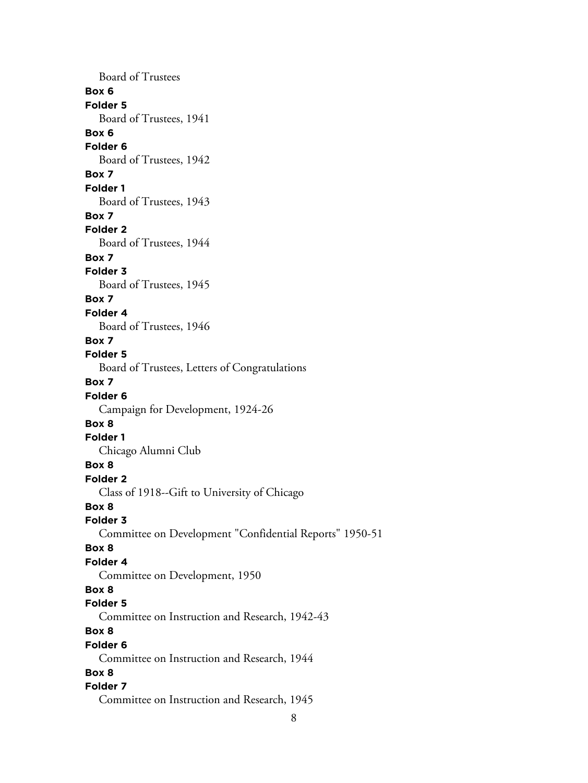Board of Trustees **Box 6 Folder 5** Board of Trustees, 1941 **Box 6 Folder 6** Board of Trustees, 1942 **Box 7 Folder 1** Board of Trustees, 1943 **Box 7 Folder 2** Board of Trustees, 1944 **Box 7 Folder 3** Board of Trustees, 1945 **Box 7 Folder 4** Board of Trustees, 1946 **Box 7 Folder 5** Board of Trustees, Letters of Congratulations **Box 7 Folder 6** Campaign for Development, 1924-26 **Box 8 Folder 1** Chicago Alumni Club **Box 8 Folder 2** Class of 1918--Gift to University of Chicago **Box 8 Folder 3** Committee on Development "Confidential Reports" 1950-51 **Box 8 Folder 4** Committee on Development, 1950 **Box 8 Folder 5** Committee on Instruction and Research, 1942-43 **Box 8 Folder 6** Committee on Instruction and Research, 1944 **Box 8 Folder 7** Committee on Instruction and Research, 1945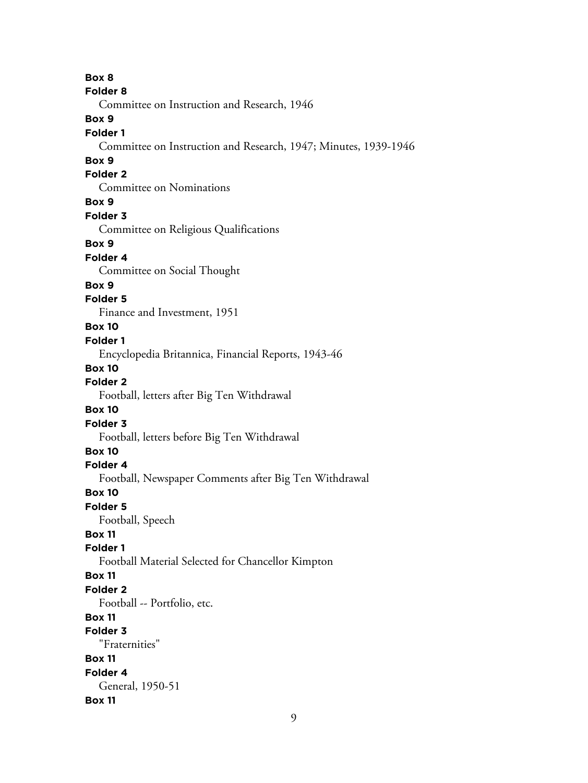**Box 8 Folder 8** Committee on Instruction and Research, 1946 **Box 9 Folder 1** Committee on Instruction and Research, 1947; Minutes, 1939-1946 **Box 9 Folder 2** Committee on Nominations **Box 9 Folder 3** Committee on Religious Qualifications **Box 9 Folder 4** Committee on Social Thought **Box 9 Folder 5** Finance and Investment, 1951 **Box 10 Folder 1** Encyclopedia Britannica, Financial Reports, 1943-46 **Box 10 Folder 2** Football, letters after Big Ten Withdrawal **Box 10 Folder 3** Football, letters before Big Ten Withdrawal **Box 10 Folder 4** Football, Newspaper Comments after Big Ten Withdrawal **Box 10 Folder 5** Football, Speech **Box 11 Folder 1** Football Material Selected for Chancellor Kimpton **Box 11 Folder 2** Football -- Portfolio, etc. **Box 11 Folder 3** "Fraternities" **Box 11 Folder 4** General, 1950-51 **Box 11**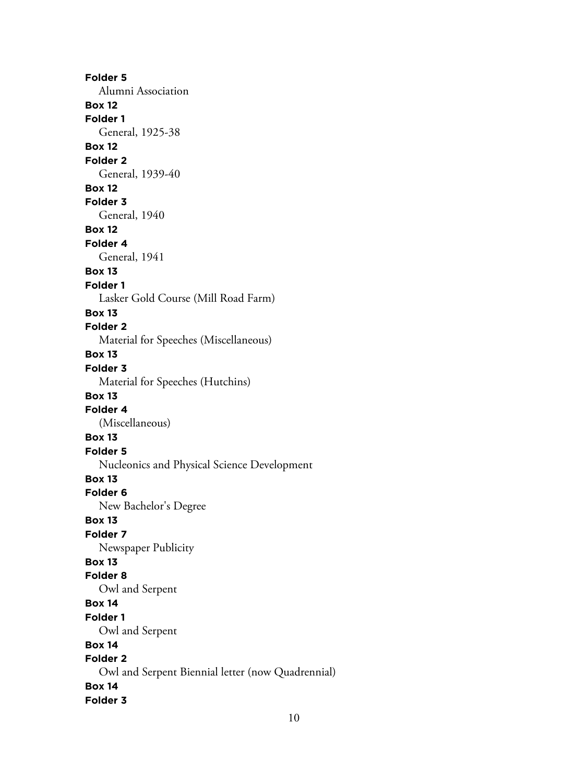**Folder 5** Alumni Association **Box 12 Folder 1** General, 1925-38 **Box 12 Folder 2** General, 1939-40 **Box 12 Folder 3** General, 1940 **Box 12 Folder 4** General, 1941 **Box 13 Folder 1** Lasker Gold Course (Mill Road Farm) **Box 13 Folder 2** Material for Speeches (Miscellaneous) **Box 13 Folder 3** Material for Speeches (Hutchins) **Box 13 Folder 4** (Miscellaneous) **Box 13 Folder 5** Nucleonics and Physical Science Development **Box 13 Folder 6** New Bachelor's Degree **Box 13 Folder 7** Newspaper Publicity **Box 13 Folder 8** Owl and Serpent **Box 14 Folder 1** Owl and Serpent **Box 14 Folder 2** Owl and Serpent Biennial letter (now Quadrennial) **Box 14 Folder 3**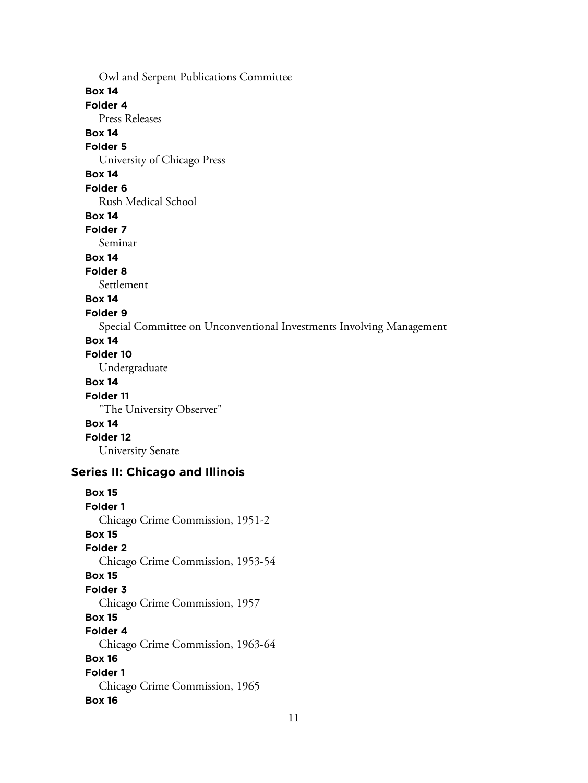Owl and Serpent Publications Committee **Box 14 Folder 4** Press Releases **Box 14 Folder 5** University of Chicago Press **Box 14 Folder 6** Rush Medical School **Box 14 Folder 7** Seminar **Box 14 Folder 8** Settlement **Box 14 Folder 9** Special Committee on Unconventional Investments Involving Management **Box 14 Folder 10** Undergraduate **Box 14 Folder 11** "The University Observer" **Box 14 Folder 12**

University Senate

# **Series II: Chicago and Illinois**

**Box 15 Folder 1** Chicago Crime Commission, 1951-2 **Box 15 Folder 2** Chicago Crime Commission, 1953-54 **Box 15 Folder 3** Chicago Crime Commission, 1957 **Box 15 Folder 4** Chicago Crime Commission, 1963-64 **Box 16 Folder 1** Chicago Crime Commission, 1965 **Box 16**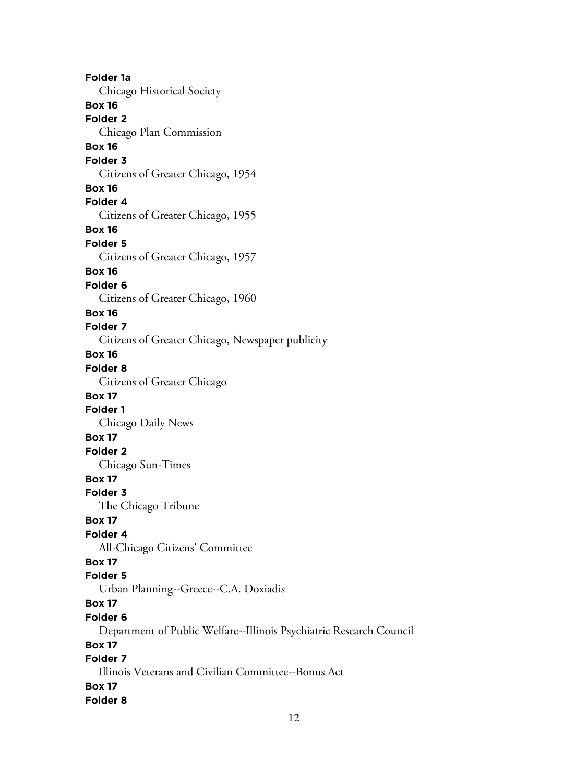**Folder 1a** Chicago Historical Society **Box 16 Folder 2** Chicago Plan Commission **Box 16 Folder 3** Citizens of Greater Chicago, 1954 **Box 16 Folder 4** Citizens of Greater Chicago, 1955 **Box 16 Folder 5** Citizens of Greater Chicago, 1957 **Box 16 Folder 6** Citizens of Greater Chicago, 1960 **Box 16 Folder 7** Citizens of Greater Chicago, Newspaper publicity **Box 16 Folder 8** Citizens of Greater Chicago **Box 17 Folder 1** Chicago Daily News **Box 17 Folder 2** Chicago Sun-Times **Box 17 Folder 3** The Chicago Tribune **Box 17 Folder 4** All-Chicago Citizens' Committee **Box 17 Folder 5** Urban Planning--Greece--C.A. Doxiadis **Box 17 Folder 6** Department of Public Welfare--Illinois Psychiatric Research Council **Box 17 Folder 7** Illinois Veterans and Civilian Committee--Bonus Act **Box 17 Folder 8**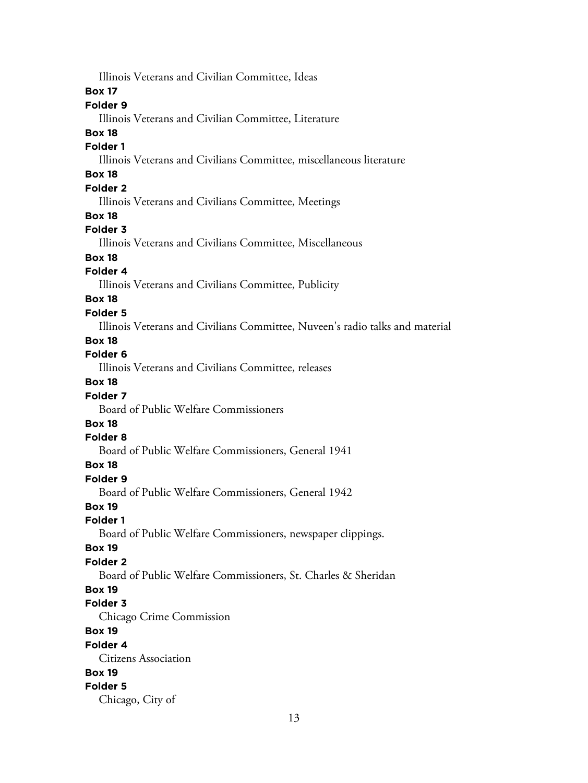Illinois Veterans and Civilian Committee, Ideas **Box 17 Folder 9** Illinois Veterans and Civilian Committee, Literature **Box 18 Folder 1** Illinois Veterans and Civilians Committee, miscellaneous literature **Box 18 Folder 2** Illinois Veterans and Civilians Committee, Meetings **Box 18 Folder 3** Illinois Veterans and Civilians Committee, Miscellaneous **Box 18 Folder 4** Illinois Veterans and Civilians Committee, Publicity **Box 18 Folder 5** Illinois Veterans and Civilians Committee, Nuveen's radio talks and material **Box 18 Folder 6** Illinois Veterans and Civilians Committee, releases **Box 18 Folder 7** Board of Public Welfare Commissioners **Box 18 Folder 8** Board of Public Welfare Commissioners, General 1941 **Box 18 Folder 9** Board of Public Welfare Commissioners, General 1942 **Box 19 Folder 1** Board of Public Welfare Commissioners, newspaper clippings. **Box 19 Folder 2** Board of Public Welfare Commissioners, St. Charles & Sheridan **Box 19 Folder 3** Chicago Crime Commission **Box 19 Folder 4** Citizens Association **Box 19 Folder 5** Chicago, City of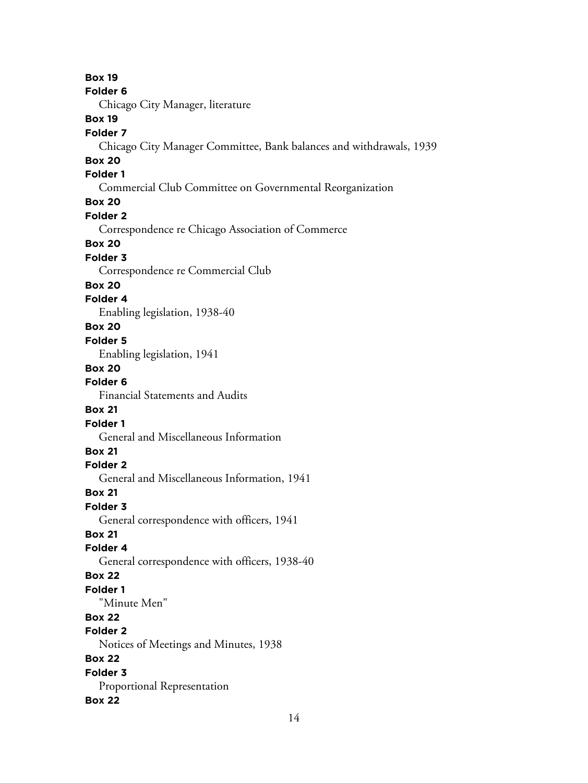**Box 19 Folder 6** Chicago City Manager, literature **Box 19 Folder 7** Chicago City Manager Committee, Bank balances and withdrawals, 1939 **Box 20 Folder 1** Commercial Club Committee on Governmental Reorganization **Box 20 Folder 2** Correspondence re Chicago Association of Commerce **Box 20 Folder 3** Correspondence re Commercial Club **Box 20 Folder 4** Enabling legislation, 1938-40 **Box 20 Folder 5** Enabling legislation, 1941 **Box 20 Folder 6** Financial Statements and Audits **Box 21 Folder 1** General and Miscellaneous Information **Box 21 Folder 2** General and Miscellaneous Information, 1941 **Box 21 Folder 3** General correspondence with officers, 1941 **Box 21 Folder 4** General correspondence with officers, 1938-40 **Box 22 Folder 1** "Minute Men" **Box 22 Folder 2** Notices of Meetings and Minutes, 1938 **Box 22 Folder 3** Proportional Representation **Box 22**

14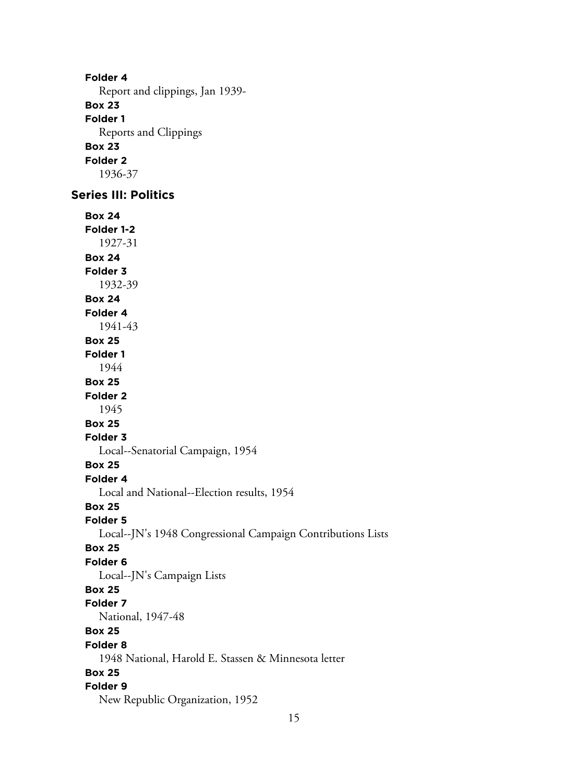**Folder 4** Report and clippings, Jan 1939- **Box 23 Folder 1** Reports and Clippings **Box 23 Folder 2** 1936-37

# **Series III: Politics**

**Box 24 Folder 1-2** 1927-31 **Box 24 Folder 3** 1932-39 **Box 24 Folder 4** 1941-43 **Box 25 Folder 1** 1944 **Box 25 Folder 2** 1945 **Box 25 Folder 3** Local--Senatorial Campaign, 1954 **Box 25 Folder 4** Local and National--Election results, 1954 **Box 25 Folder 5** Local--JN's 1948 Congressional Campaign Contributions Lists **Box 25 Folder 6** Local--JN's Campaign Lists **Box 25 Folder 7** National, 1947-48 **Box 25 Folder 8** 1948 National, Harold E. Stassen & Minnesota letter **Box 25 Folder 9** New Republic Organization, 1952

15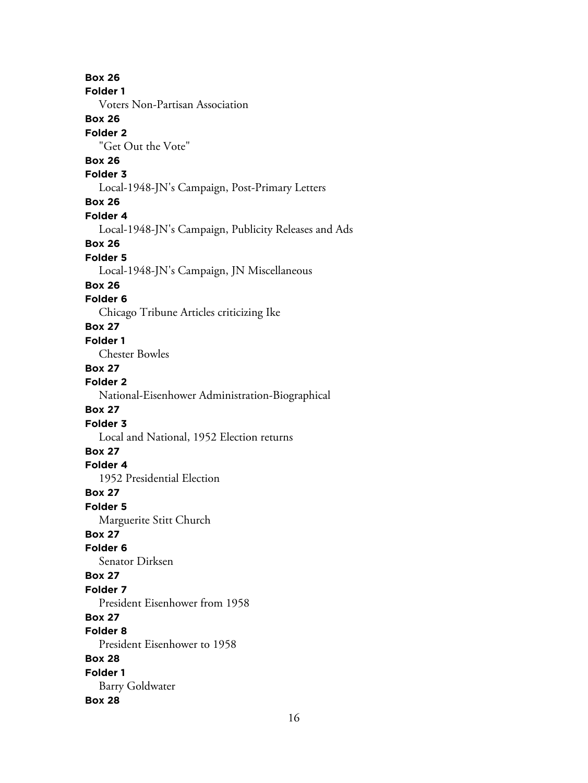**Box 26 Folder 1** Voters Non-Partisan Association **Box 26 Folder 2** "Get Out the Vote" **Box 26 Folder 3** Local-1948-JN's Campaign, Post-Primary Letters **Box 26 Folder 4** Local-1948-JN's Campaign, Publicity Releases and Ads **Box 26 Folder 5** Local-1948-JN's Campaign, JN Miscellaneous **Box 26 Folder 6** Chicago Tribune Articles criticizing Ike **Box 27 Folder 1** Chester Bowles **Box 27 Folder 2** National-Eisenhower Administration-Biographical **Box 27 Folder 3** Local and National, 1952 Election returns **Box 27 Folder 4** 1952 Presidential Election **Box 27 Folder 5** Marguerite Stitt Church **Box 27 Folder 6** Senator Dirksen **Box 27 Folder 7** President Eisenhower from 1958 **Box 27 Folder 8** President Eisenhower to 1958 **Box 28 Folder 1** Barry Goldwater **Box 28**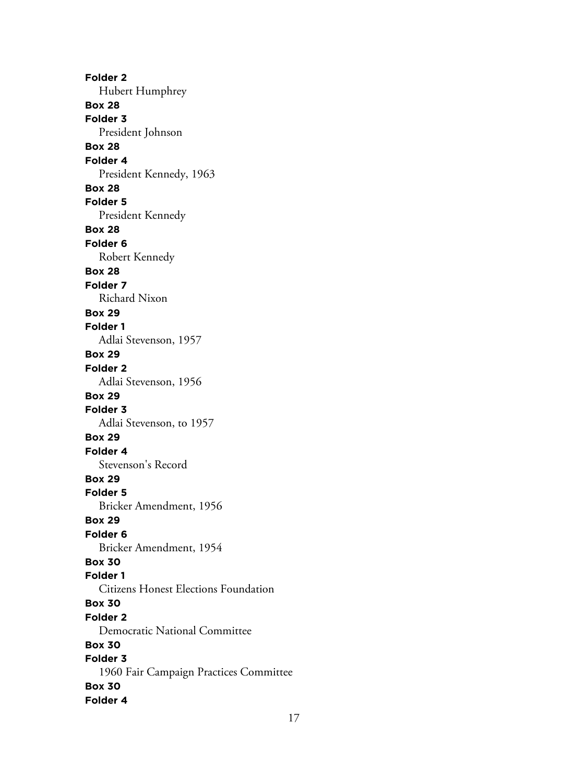**Folder 2** Hubert Humphrey **Box 28 Folder 3** President Johnson **Box 28 Folder 4** President Kennedy, 1963 **Box 28 Folder 5** President Kennedy **Box 28 Folder 6** Robert Kennedy **Box 28 Folder 7** Richard Nixon **Box 29 Folder 1** Adlai Stevenson, 1957 **Box 29 Folder 2** Adlai Stevenson, 1956 **Box 29 Folder 3** Adlai Stevenson, to 1957 **Box 29 Folder 4** Stevenson's Record **Box 29 Folder 5** Bricker Amendment, 1956 **Box 29 Folder 6** Bricker Amendment, 1954 **Box 30 Folder 1** Citizens Honest Elections Foundation **Box 30 Folder 2** Democratic National Committee **Box 30 Folder 3** 1960 Fair Campaign Practices Committee **Box 30 Folder 4**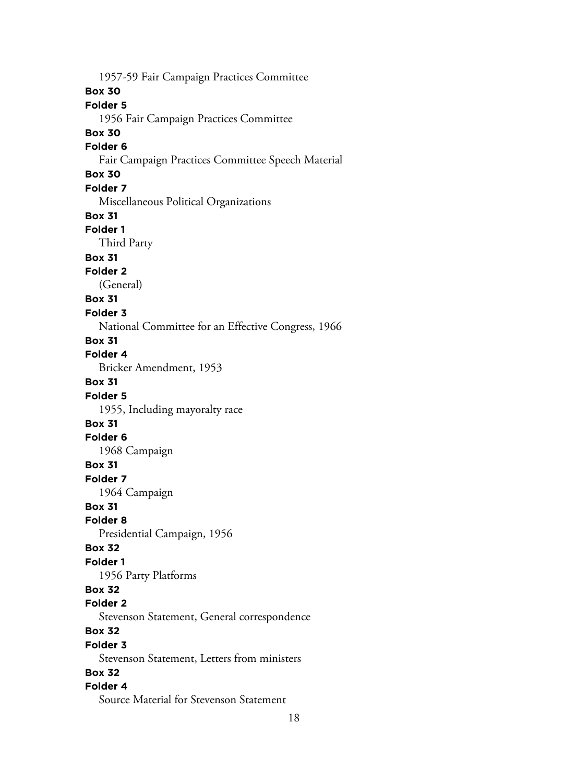1957-59 Fair Campaign Practices Committee **Box 30 Folder 5** 1956 Fair Campaign Practices Committee **Box 30 Folder 6** Fair Campaign Practices Committee Speech Material **Box 30 Folder 7** Miscellaneous Political Organizations **Box 31 Folder 1** Third Party **Box 31 Folder 2** (General) **Box 31 Folder 3** National Committee for an Effective Congress, 1966 **Box 31 Folder 4** Bricker Amendment, 1953 **Box 31 Folder 5** 1955, Including mayoralty race **Box 31 Folder 6** 1968 Campaign **Box 31 Folder 7** 1964 Campaign **Box 31 Folder 8** Presidential Campaign, 1956 **Box 32 Folder 1** 1956 Party Platforms **Box 32 Folder 2** Stevenson Statement, General correspondence **Box 32 Folder 3** Stevenson Statement, Letters from ministers **Box 32 Folder 4** Source Material for Stevenson Statement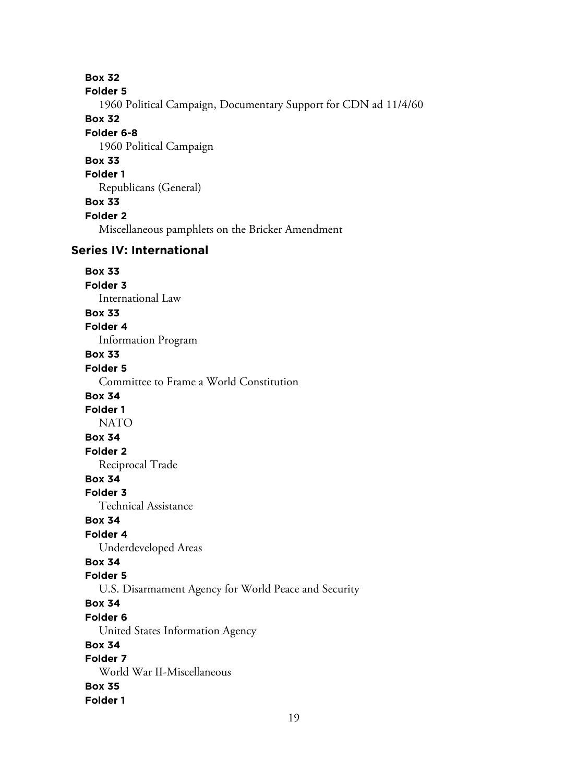**Box 32 Folder 5** 1960 Political Campaign, Documentary Support for CDN ad 11/4/60 **Box 32 Folder 6-8** 1960 Political Campaign **Box 33 Folder 1** Republicans (General) **Box 33 Folder 2** Miscellaneous pamphlets on the Bricker Amendment **Series IV: International Box 33 Folder 3** International Law **Box 33 Folder 4** Information Program **Box 33 Folder 5** Committee to Frame a World Constitution **Box 34 Folder 1** NATO **Box 34 Folder 2** Reciprocal Trade **Box 34 Folder 3** Technical Assistance **Box 34 Folder 4** Underdeveloped Areas **Box 34 Folder 5** U.S. Disarmament Agency for World Peace and Security **Box 34 Folder 6** United States Information Agency **Box 34 Folder 7** World War II-Miscellaneous **Box 35 Folder 1**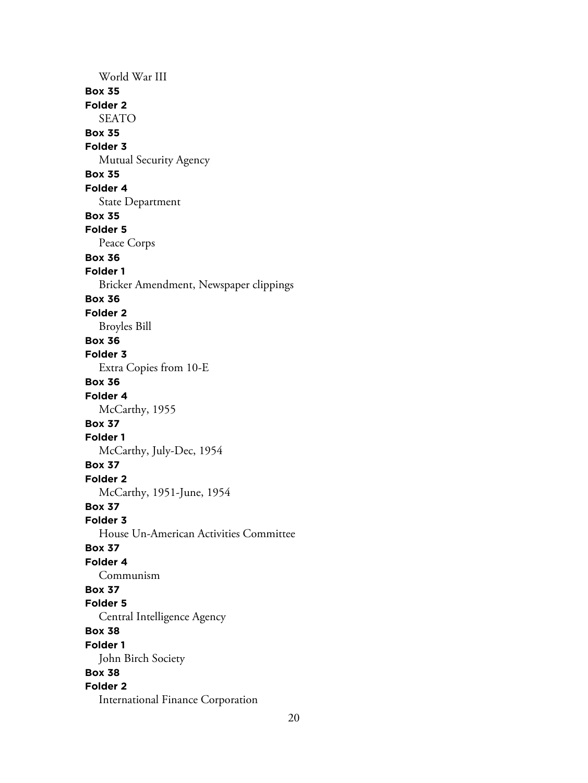World War III **Box 35 Folder 2** SEATO **Box 35 Folder 3** Mutual Security Agency **Box 35 Folder 4** State Department **Box 35 Folder 5** Peace Corps **Box 36 Folder 1** Bricker Amendment, Newspaper clippings **Box 36 Folder 2** Broyles Bill **Box 36 Folder 3** Extra Copies from 10-E **Box 36 Folder 4** McCarthy, 1955 **Box 37 Folder 1** McCarthy, July-Dec, 1954 **Box 37 Folder 2** McCarthy, 1951-June, 1954 **Box 37 Folder 3** House Un-American Activities Committee **Box 37 Folder 4** Communism **Box 37 Folder 5** Central Intelligence Agency **Box 38 Folder 1** John Birch Society **Box 38 Folder 2** International Finance Corporation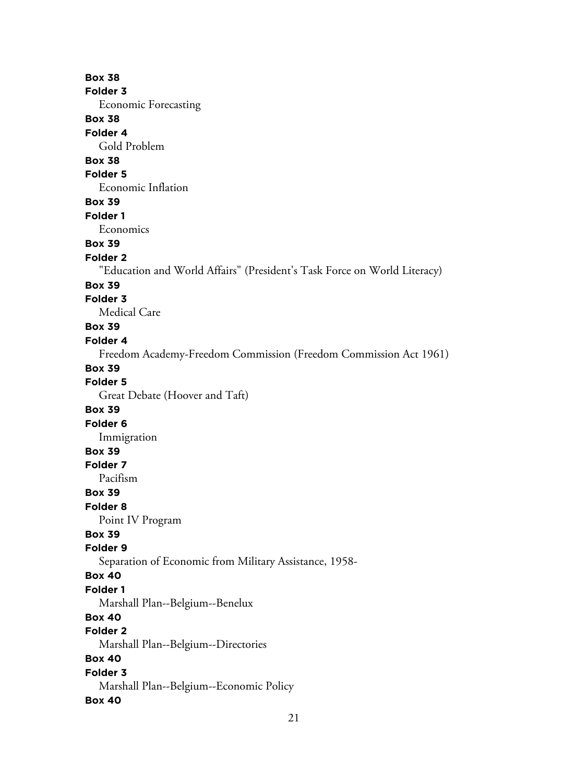**Box 38 Folder 3** Economic Forecasting **Box 38 Folder 4** Gold Problem **Box 38 Folder 5** Economic Inflation **Box 39 Folder 1** Economics **Box 39 Folder 2** "Education and World Affairs" (President's Task Force on World Literacy) **Box 39 Folder 3** Medical Care **Box 39 Folder 4** Freedom Academy-Freedom Commission (Freedom Commission Act 1961) **Box 39 Folder 5** Great Debate (Hoover and Taft) **Box 39 Folder 6** Immigration **Box 39 Folder 7** Pacifism **Box 39 Folder 8** Point IV Program **Box 39 Folder 9** Separation of Economic from Military Assistance, 1958- **Box 40 Folder 1** Marshall Plan--Belgium--Benelux **Box 40 Folder 2** Marshall Plan--Belgium--Directories **Box 40 Folder 3** Marshall Plan--Belgium--Economic Policy **Box 40**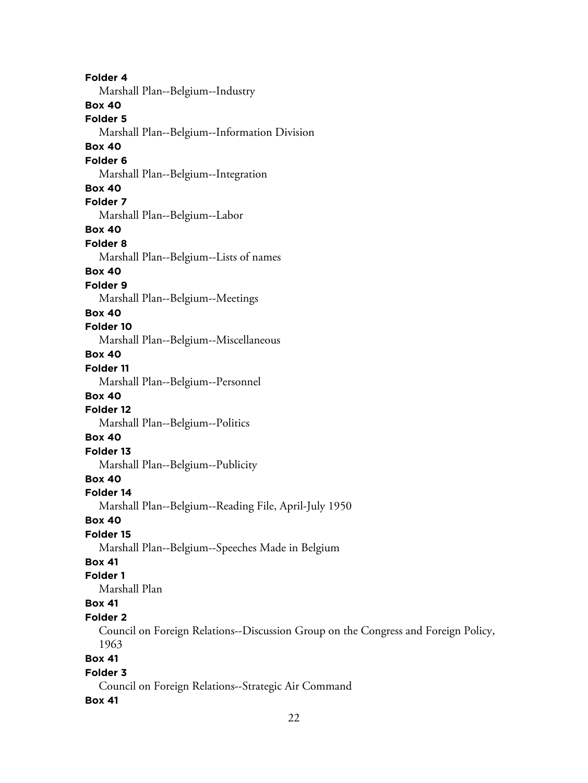**Folder 4** Marshall Plan--Belgium--Industry **Box 40 Folder 5** Marshall Plan--Belgium--Information Division **Box 40 Folder 6** Marshall Plan--Belgium--Integration **Box 40 Folder 7** Marshall Plan--Belgium--Labor **Box 40 Folder 8** Marshall Plan--Belgium--Lists of names **Box 40 Folder 9** Marshall Plan--Belgium--Meetings **Box 40 Folder 10** Marshall Plan--Belgium--Miscellaneous **Box 40 Folder 11** Marshall Plan--Belgium--Personnel **Box 40 Folder 12** Marshall Plan--Belgium--Politics **Box 40 Folder 13** Marshall Plan--Belgium--Publicity **Box 40 Folder 14** Marshall Plan--Belgium--Reading File, April-July 1950 **Box 40 Folder 15** Marshall Plan--Belgium--Speeches Made in Belgium **Box 41 Folder 1** Marshall Plan **Box 41 Folder 2** Council on Foreign Relations--Discussion Group on the Congress and Foreign Policy, 1963 **Box 41 Folder 3** Council on Foreign Relations--Strategic Air Command

#### **Box 41**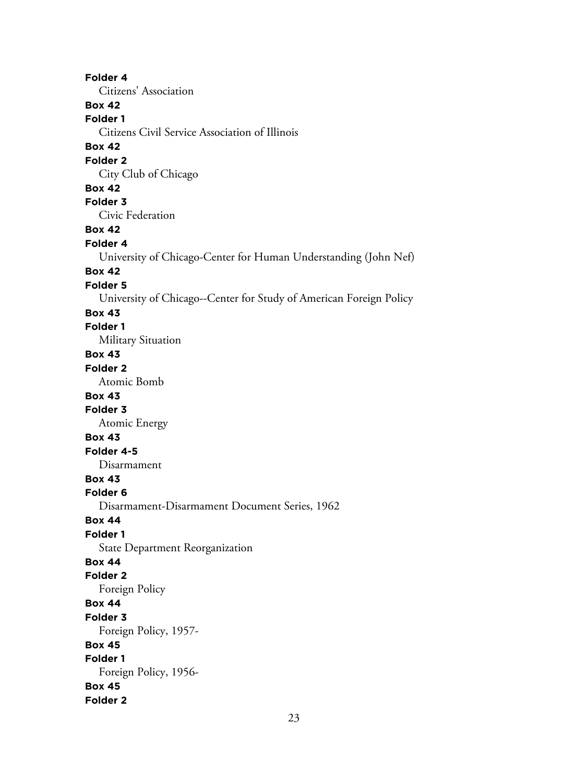**Folder 4** Citizens' Association **Box 42 Folder 1** Citizens Civil Service Association of Illinois **Box 42 Folder 2** City Club of Chicago **Box 42 Folder 3** Civic Federation **Box 42 Folder 4** University of Chicago-Center for Human Understanding (John Nef) **Box 42 Folder 5** University of Chicago--Center for Study of American Foreign Policy **Box 43 Folder 1** Military Situation **Box 43 Folder 2** Atomic Bomb **Box 43 Folder 3** Atomic Energy **Box 43 Folder 4-5** Disarmament **Box 43 Folder 6** Disarmament-Disarmament Document Series, 1962 **Box 44 Folder 1** State Department Reorganization **Box 44 Folder 2** Foreign Policy **Box 44 Folder 3** Foreign Policy, 1957- **Box 45 Folder 1** Foreign Policy, 1956- **Box 45 Folder 2**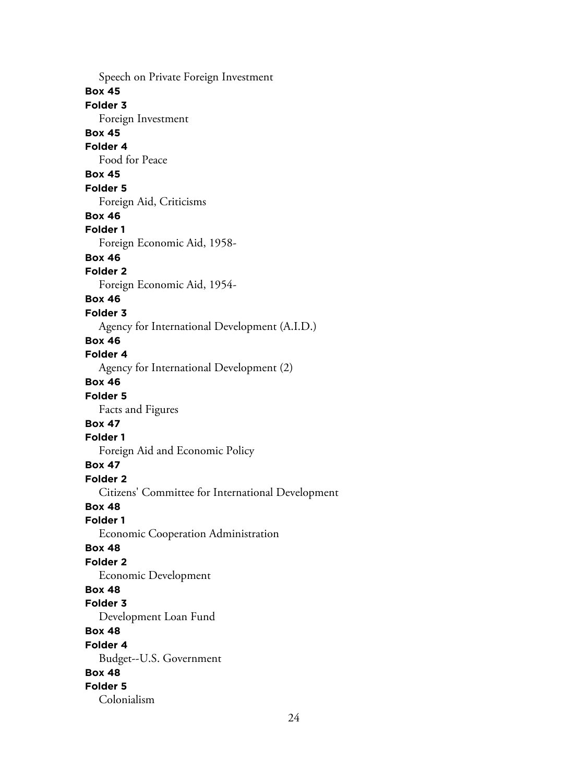Speech on Private Foreign Investment **Box 45 Folder 3** Foreign Investment **Box 45 Folder 4** Food for Peace **Box 45 Folder 5** Foreign Aid, Criticisms **Box 46 Folder 1** Foreign Economic Aid, 1958- **Box 46 Folder 2** Foreign Economic Aid, 1954- **Box 46 Folder 3** Agency for International Development (A.I.D.) **Box 46 Folder 4** Agency for International Development (2) **Box 46 Folder 5** Facts and Figures **Box 47 Folder 1** Foreign Aid and Economic Policy **Box 47 Folder 2** Citizens' Committee for International Development **Box 48 Folder 1** Economic Cooperation Administration **Box 48 Folder 2** Economic Development **Box 48 Folder 3** Development Loan Fund **Box 48 Folder 4** Budget--U.S. Government **Box 48 Folder 5** Colonialism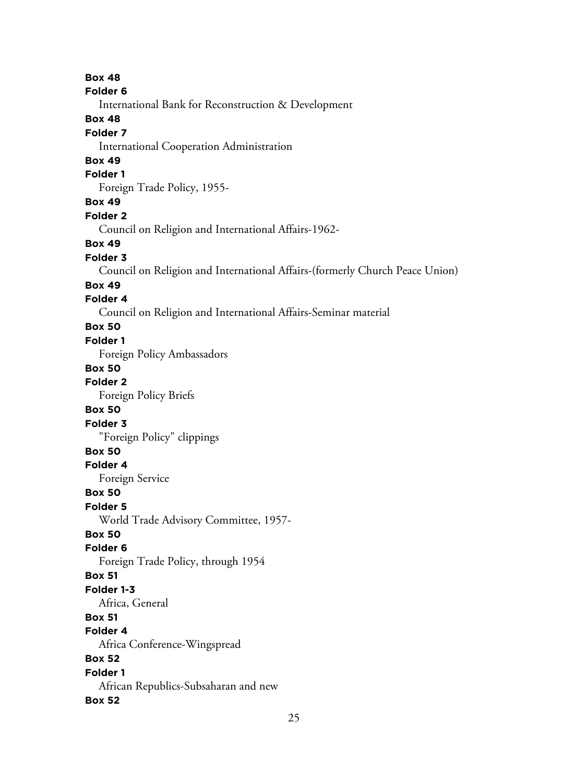**Box 48 Folder 6** International Bank for Reconstruction & Development **Box 48 Folder 7** International Cooperation Administration **Box 49 Folder 1** Foreign Trade Policy, 1955- **Box 49 Folder 2** Council on Religion and International Affairs-1962- **Box 49 Folder 3** Council on Religion and International Affairs-(formerly Church Peace Union) **Box 49 Folder 4** Council on Religion and International Affairs-Seminar material **Box 50 Folder 1** Foreign Policy Ambassadors **Box 50 Folder 2** Foreign Policy Briefs **Box 50 Folder 3** "Foreign Policy" clippings **Box 50 Folder 4** Foreign Service **Box 50 Folder 5** World Trade Advisory Committee, 1957- **Box 50 Folder 6** Foreign Trade Policy, through 1954 **Box 51 Folder 1-3** Africa, General **Box 51 Folder 4** Africa Conference-Wingspread **Box 52 Folder 1** African Republics-Subsaharan and new **Box 52**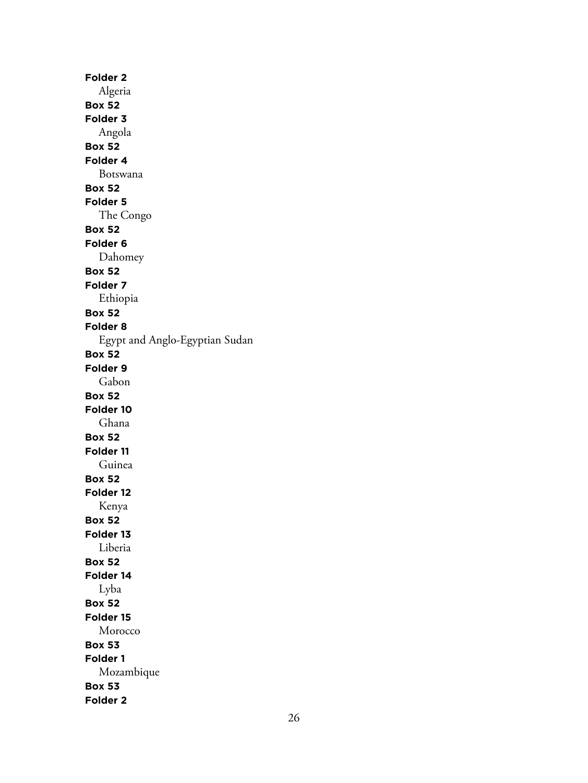**Folder 2** Algeria **Box 52 Folder 3** Angola **Box 52 Folder 4** Botswana **Box 52 Folder 5** The Congo **Box 52 Folder 6** Dahomey **Box 52 Folder 7** Ethiopia **Box 52 Folder 8** Egypt and Anglo-Egyptian Sudan **Box 52 Folder 9** Gabon **Box 52 Folder 10** Ghana **Box 52 Folder 11** Guinea **Box 52 Folder 12** Kenya **Box 52 Folder 13** Liberia **Box 52 Folder 14** Lyba **Box 52 Folder 15** Morocco **Box 53 Folder 1** Mozambique **Box 53 Folder 2**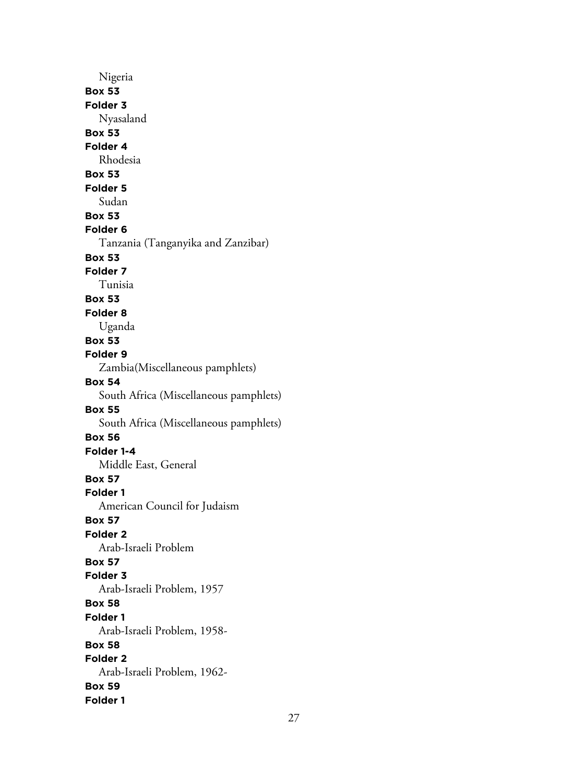Nigeria **Box 53 Folder 3** Nyasaland **Box 53 Folder 4** Rhodesia **Box 53 Folder 5** Sudan **Box 53 Folder 6** Tanzania (Tanganyika and Zanzibar) **Box 53 Folder 7** Tunisia **Box 53 Folder 8** Uganda **Box 53 Folder 9** Zambia(Miscellaneous pamphlets) **Box 54** South Africa (Miscellaneous pamphlets) **Box 55** South Africa (Miscellaneous pamphlets) **Box 56 Folder 1-4** Middle East, General **Box 57 Folder 1** American Council for Judaism **Box 57 Folder 2** Arab-Israeli Problem **Box 57 Folder 3** Arab-Israeli Problem, 1957 **Box 58 Folder 1** Arab-Israeli Problem, 1958- **Box 58 Folder 2** Arab-Israeli Problem, 1962- **Box 59 Folder 1**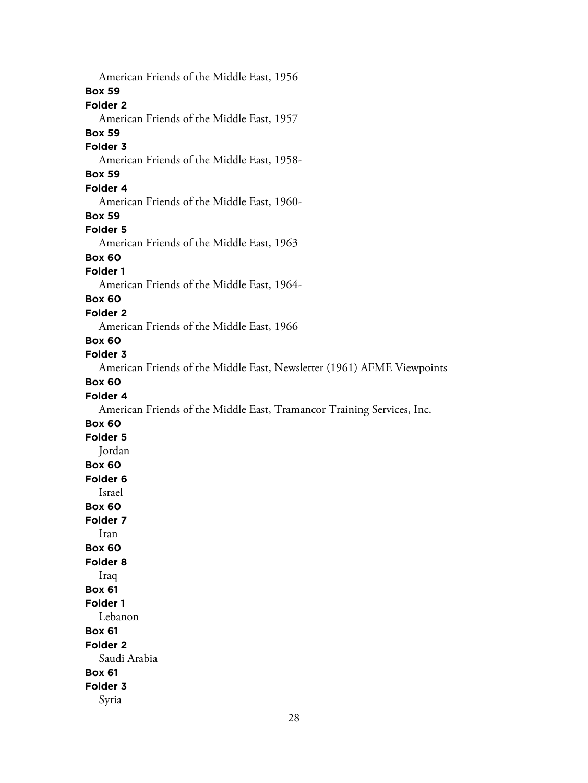American Friends of the Middle East, 1956 **Box 59 Folder 2** American Friends of the Middle East, 1957 **Box 59 Folder 3** American Friends of the Middle East, 1958- **Box 59 Folder 4** American Friends of the Middle East, 1960- **Box 59 Folder 5** American Friends of the Middle East, 1963 **Box 60 Folder 1** American Friends of the Middle East, 1964- **Box 60 Folder 2** American Friends of the Middle East, 1966 **Box 60 Folder 3** American Friends of the Middle East, Newsletter (1961) AFME Viewpoints **Box 60 Folder 4** American Friends of the Middle East, Tramancor Training Services, Inc. **Box 60 Folder 5** Jordan **Box 60 Folder 6** Israel **Box 60 Folder 7** Iran **Box 60 Folder 8** Iraq **Box 61 Folder 1** Lebanon **Box 61 Folder 2** Saudi Arabia **Box 61 Folder 3** Syria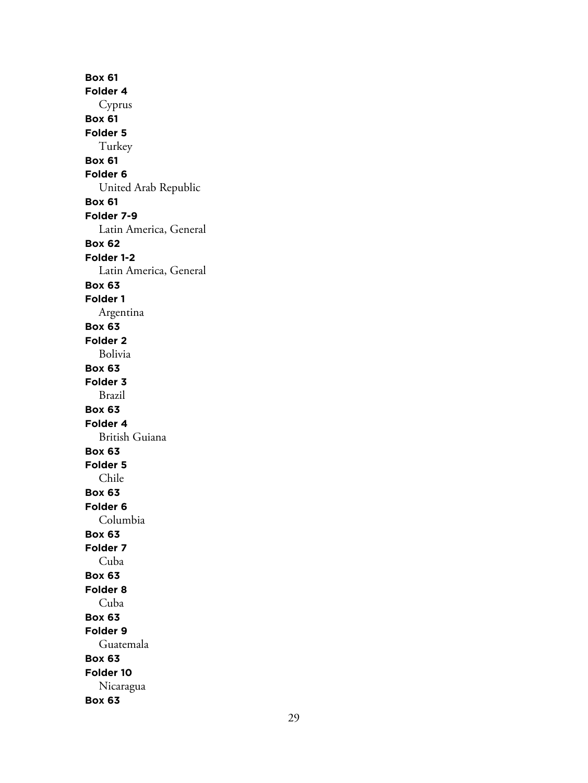**Box 61 Folder 4** Cyprus **Box 61 Folder 5** Turkey **Box 61 Folder 6** United Arab Republic **Box 61 Folder 7-9** Latin America, General **Box 62 Folder 1-2** Latin America, General **Box 63 Folder 1** Argentina **Box 63 Folder 2** Bolivia **Box 63 Folder 3** Brazil **Box 63 Folder 4** British Guiana **Box 63 Folder 5** Chile **Box 63 Folder 6** Columbia **Box 63 Folder 7** Cuba **Box 63 Folder 8** Cuba **Box 63 Folder 9** Guatemala **Box 63 Folder 10** Nicaragua **Box 63**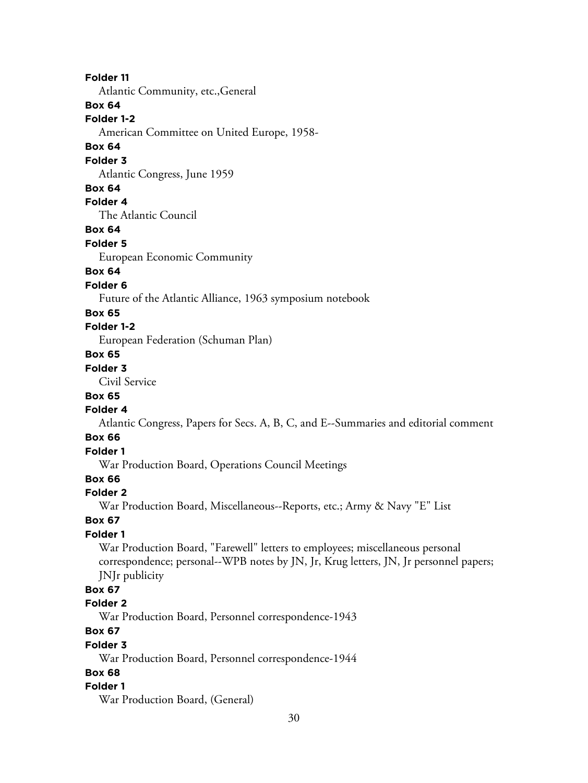## **Folder 11**

Atlantic Community, etc.,General

# **Box 64**

**Folder 1-2**

American Committee on United Europe, 1958-

# **Box 64**

## **Folder 3**

Atlantic Congress, June 1959

#### **Box 64**

**Folder 4**

The Atlantic Council

#### **Box 64**

**Folder 5**

European Economic Community

# **Box 64**

#### **Folder 6**

Future of the Atlantic Alliance, 1963 symposium notebook

#### **Box 65**

#### **Folder 1-2**

European Federation (Schuman Plan)

## **Box 65**

# **Folder 3**

Civil Service

# **Box 65**

## **Folder 4**

Atlantic Congress, Papers for Secs. A, B, C, and E--Summaries and editorial comment

# **Box 66**

# **Folder 1**

War Production Board, Operations Council Meetings

# **Box 66**

#### **Folder 2**

War Production Board, Miscellaneous--Reports, etc.; Army & Navy "E" List

## **Box 67**

# **Folder 1**

War Production Board, "Farewell" letters to employees; miscellaneous personal correspondence; personal--WPB notes by JN, Jr, Krug letters, JN, Jr personnel papers; JNJr publicity

# **Box 67**

#### **Folder 2**

War Production Board, Personnel correspondence-1943

# **Box 67**

#### **Folder 3**

War Production Board, Personnel correspondence-1944

## **Box 68**

#### **Folder 1**

War Production Board, (General)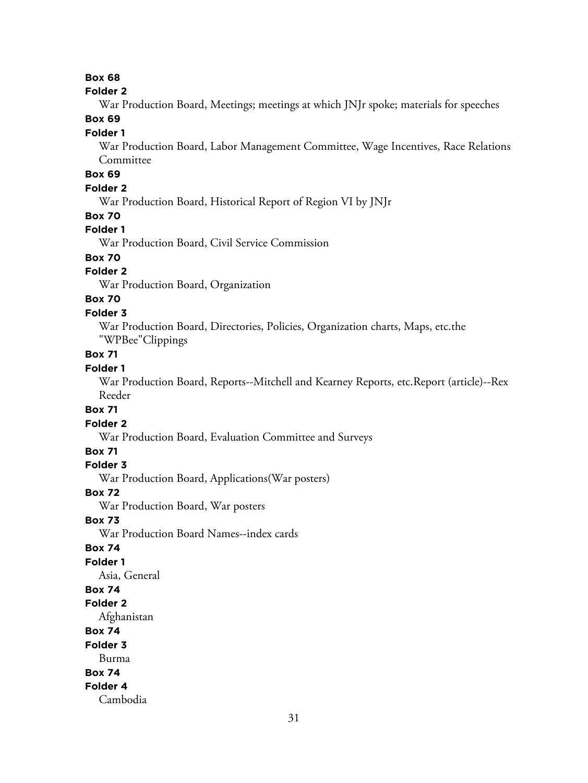# **Box 68**

#### **Folder 2**

War Production Board, Meetings; meetings at which JNJr spoke; materials for speeches

## **Box 69**

#### **Folder 1**

War Production Board, Labor Management Committee, Wage Incentives, Race Relations Committee

# **Box 69**

# **Folder 2**

War Production Board, Historical Report of Region VI by JNJr

## **Box 70**

# **Folder 1**

War Production Board, Civil Service Commission

# **Box 70**

# **Folder 2**

War Production Board, Organization

# **Box 70**

#### **Folder 3**

War Production Board, Directories, Policies, Organization charts, Maps, etc.the "WPBee"Clippings

# **Box 71**

# **Folder 1**

War Production Board, Reports--Mitchell and Kearney Reports, etc.Report (article)--Rex Reeder

## **Box 71**

#### **Folder 2**

War Production Board, Evaluation Committee and Surveys

# **Box 71**

## **Folder 3**

War Production Board, Applications(War posters)

#### **Box 72**

War Production Board, War posters

# **Box 73**

War Production Board Names--index cards

## **Box 74**

# **Folder 1**

Asia, General

## **Box 74**

#### **Folder 2**

Afghanistan

# **Box 74**

#### **Folder 3**

Burma

#### **Box 74**

#### **Folder 4**

Cambodia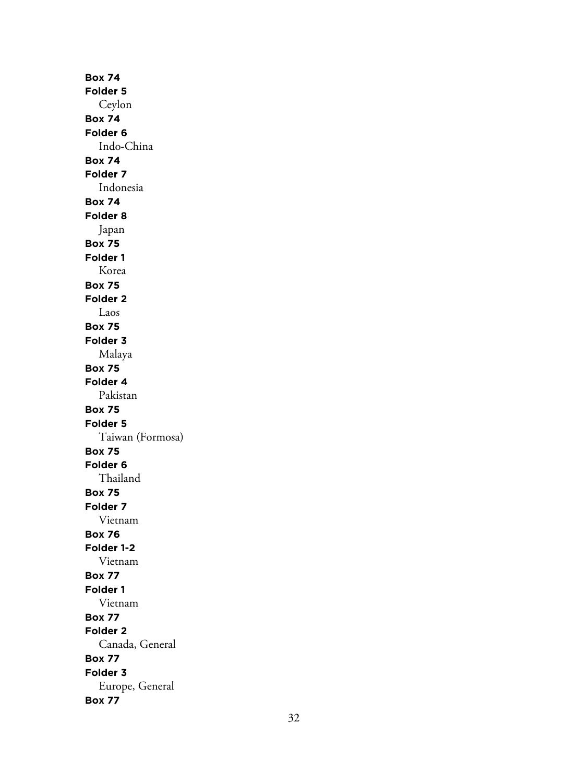**Box 74 Folder 5** Ceylon **Box 74 Folder 6** Indo-China **Box 74 Folder 7** Indonesia **Box 74 Folder 8** Japan **Box 75 Folder 1** Korea **Box 75 Folder 2** Laos **Box 75 Folder 3** Malaya **Box 75 Folder 4** Pakistan **Box 75 Folder 5** Taiwan (Formosa) **Box 75 Folder 6** Thailand **Box 75 Folder 7** Vietnam **Box 76 Folder 1-2** Vietnam **Box 77 Folder 1** Vietnam **Box 77 Folder 2** Canada, General **Box 77 Folder 3** Europe, General **Box 77**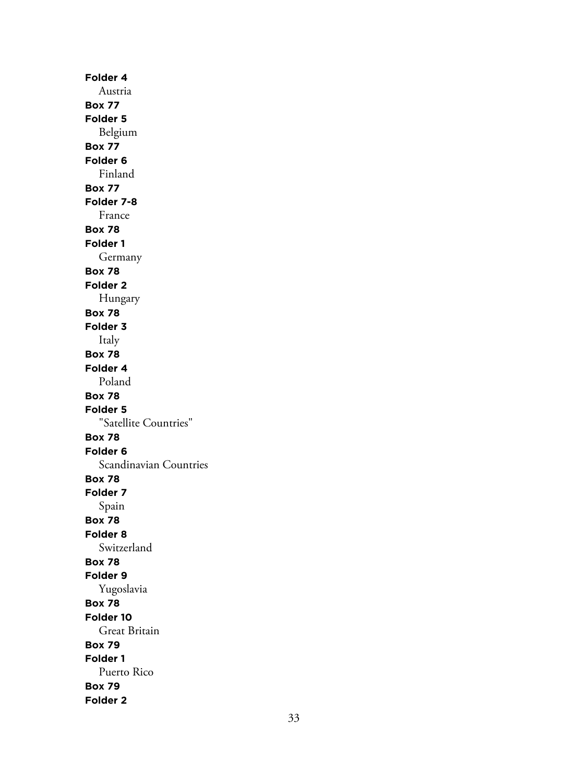**Folder 4** Austria **Box 77 Folder 5** Belgium **Box 77 Folder 6** Finland **Box 77 Folder 7-8** France **Box 78 Folder 1** Germany **Box 78 Folder 2** Hungary **Box 78 Folder 3** Italy **Box 78 Folder 4** Poland **Box 78 Folder 5** "Satellite Countries" **Box 78 Folder 6** Scandinavian Countries **Box 78 Folder 7** Spain **Box 78 Folder 8** Switzerland **Box 78 Folder 9** Yugoslavia **Box 78 Folder 10** Great Britain **Box 79 Folder 1** Puerto Rico **Box 79 Folder 2**